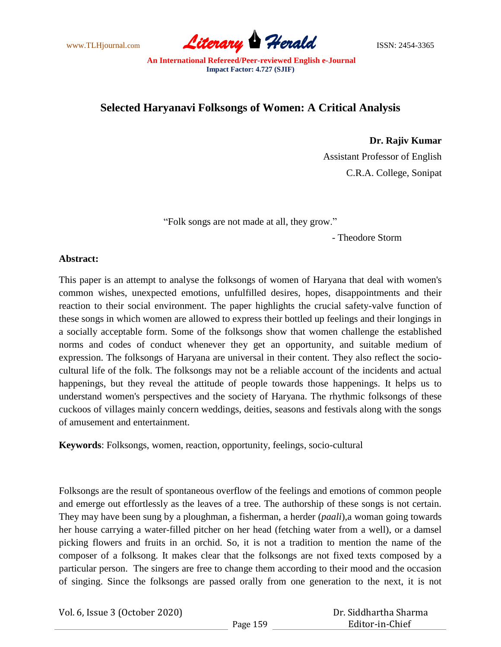www.TLHjournal.com **Literary Herald** ISSN: 2454-3365

# **Selected Haryanavi Folksongs of Women: A Critical Analysis**

**Dr. Rajiv Kumar** Assistant Professor of English C.R.A. College, Sonipat

"Folk songs are not made at all, they grow."

- Theodore Storm

# **Abstract:**

This paper is an attempt to analyse the folksongs of women of Haryana that deal with women's common wishes, unexpected emotions, unfulfilled desires, hopes, disappointments and their reaction to their social environment. The paper highlights the crucial safety-valve function of these songs in which women are allowed to express their bottled up feelings and their longings in a socially acceptable form. Some of the folksongs show that women challenge the established norms and codes of conduct whenever they get an opportunity, and suitable medium of expression. The folksongs of Haryana are universal in their content. They also reflect the sociocultural life of the folk. The folksongs may not be a reliable account of the incidents and actual happenings, but they reveal the attitude of people towards those happenings. It helps us to understand women's perspectives and the society of Haryana. The rhythmic folksongs of these cuckoos of villages mainly concern weddings, deities, seasons and festivals along with the songs of amusement and entertainment.

**Keywords**: Folksongs, women, reaction, opportunity, feelings, socio-cultural

Folksongs are the result of spontaneous overflow of the feelings and emotions of common people and emerge out effortlessly as the leaves of a tree. The authorship of these songs is not certain. They may have been sung by a ploughman, a fisherman, a herder (*paali*),a woman going towards her house carrying a water-filled pitcher on her head (fetching water from a well), or a damsel picking flowers and fruits in an orchid. So, it is not a tradition to mention the name of the composer of a folksong. It makes clear that the folksongs are not fixed texts composed by a particular person. The singers are free to change them according to their mood and the occasion of singing. Since the folksongs are passed orally from one generation to the next, it is not

Vol. 6, Issue 3 (October 2020)

 Dr. Siddhartha Sharma Editor-in-Chief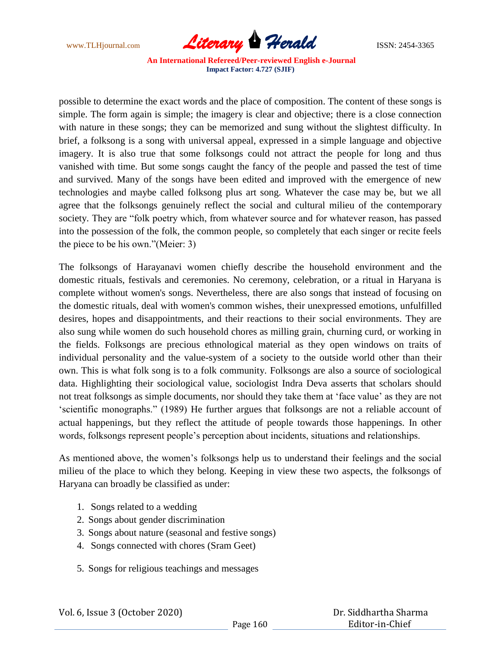

possible to determine the exact words and the place of composition. The content of these songs is simple. The form again is simple; the imagery is clear and objective; there is a close connection with nature in these songs; they can be memorized and sung without the slightest difficulty. In brief, a folksong is a song with universal appeal, expressed in a simple language and objective imagery. It is also true that some folksongs could not attract the people for long and thus vanished with time. But some songs caught the fancy of the people and passed the test of time and survived. Many of the songs have been edited and improved with the emergence of new technologies and maybe called folksong plus art song. Whatever the case may be, but we all agree that the folksongs genuinely reflect the social and cultural milieu of the contemporary society. They are "folk poetry which, from whatever source and for whatever reason, has passed into the possession of the folk, the common people, so completely that each singer or recite feels the piece to be his own."(Meier: 3)

The folksongs of Harayanavi women chiefly describe the household environment and the domestic rituals, festivals and ceremonies. No ceremony, celebration, or a ritual in Haryana is complete without women's songs. Nevertheless, there are also songs that instead of focusing on the domestic rituals, deal with women's common wishes, their unexpressed emotions, unfulfilled desires, hopes and disappointments, and their reactions to their social environments. They are also sung while women do such household chores as milling grain, churning curd, or working in the fields. Folksongs are precious ethnological material as they open windows on traits of individual personality and the value-system of a society to the outside world other than their own. This is what folk song is to a folk community. Folksongs are also a source of sociological data. Highlighting their sociological value, sociologist Indra Deva asserts that scholars should not treat folksongs as simple documents, nor should they take them at "face value" as they are not "scientific monographs." (1989) He further argues that folksongs are not a reliable account of actual happenings, but they reflect the attitude of people towards those happenings. In other words, folksongs represent people"s perception about incidents, situations and relationships.

As mentioned above, the women's folksongs help us to understand their feelings and the social milieu of the place to which they belong. Keeping in view these two aspects, the folksongs of Haryana can broadly be classified as under:

- 1. Songs related to a wedding
- 2. Songs about gender discrimination
- 3. Songs about nature (seasonal and festive songs)
- 4. Songs connected with chores (Sram Geet)
- 5. Songs for religious teachings and messages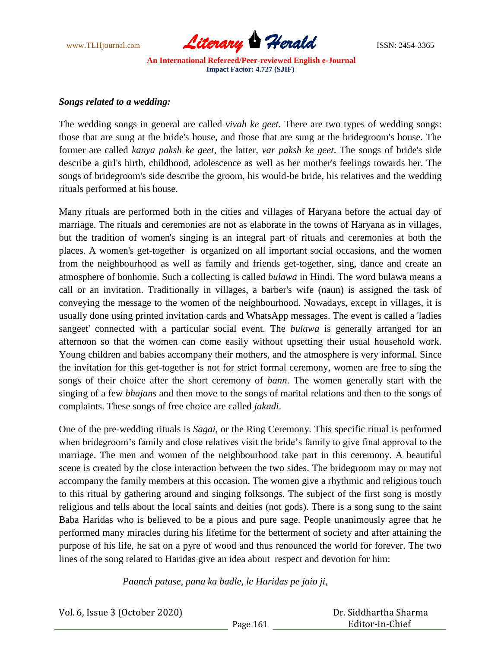

#### *Songs related to a wedding:*

The wedding songs in general are called *vivah ke geet.* There are two types of wedding songs: those that are sung at the bride's house, and those that are sung at the bridegroom's house. The former are called *kanya paksh ke geet*, the latter, *var paksh ke geet*. The songs of bride's side describe a girl's birth, childhood, adolescence as well as her mother's feelings towards her. The songs of bridegroom's side describe the groom, his would-be bride, his relatives and the wedding rituals performed at his house.

Many rituals are performed both in the cities and villages of Haryana before the actual day of marriage. The rituals and ceremonies are not as elaborate in the towns of Haryana as in villages, but the tradition of women's singing is an integral part of rituals and ceremonies at both the places. A women's get-together is organized on all important social occasions, and the women from the neighbourhood as well as family and friends get-together, sing, dance and create an atmosphere of bonhomie. Such a collecting is called *bulawa* in Hindi. The word bulawa means a call or an invitation. Traditionally in villages, a barber's wife (naun) is assigned the task of conveying the message to the women of the neighbourhood. Nowadays, except in villages, it is usually done using printed invitation cards and WhatsApp messages. The event is called a 'ladies sangeet' connected with a particular social event. The *bulawa* is generally arranged for an afternoon so that the women can come easily without upsetting their usual household work. Young children and babies accompany their mothers, and the atmosphere is very informal. Since the invitation for this get-together is not for strict formal ceremony, women are free to sing the songs of their choice after the short ceremony of *bann*. The women generally start with the singing of a few *bhajans* and then move to the songs of marital relations and then to the songs of complaints. These songs of free choice are called *jakadi*.

One of the pre-wedding rituals is *Sagai*, or the Ring Ceremony. This specific ritual is performed when bridegroom's family and close relatives visit the bride's family to give final approval to the marriage. The men and women of the neighbourhood take part in this ceremony. A beautiful scene is created by the close interaction between the two sides. The bridegroom may or may not accompany the family members at this occasion. The women give a rhythmic and religious touch to this ritual by gathering around and singing folksongs. The subject of the first song is mostly religious and tells about the local saints and deities (not gods). There is a song sung to the saint Baba Haridas who is believed to be a pious and pure sage. People unanimously agree that he performed many miracles during his lifetime for the betterment of society and after attaining the purpose of his life, he sat on a pyre of wood and thus renounced the world for forever. The two lines of the song related to Haridas give an idea about respect and devotion for him:

*Paanch patase, pana ka badle, le Haridas pe jaio ji,*

| Vol. 6, Issue 3 (October 2020) |          | Dr. Siddhartha Sharma |  |
|--------------------------------|----------|-----------------------|--|
|                                | Page 161 | Editor-in-Chief       |  |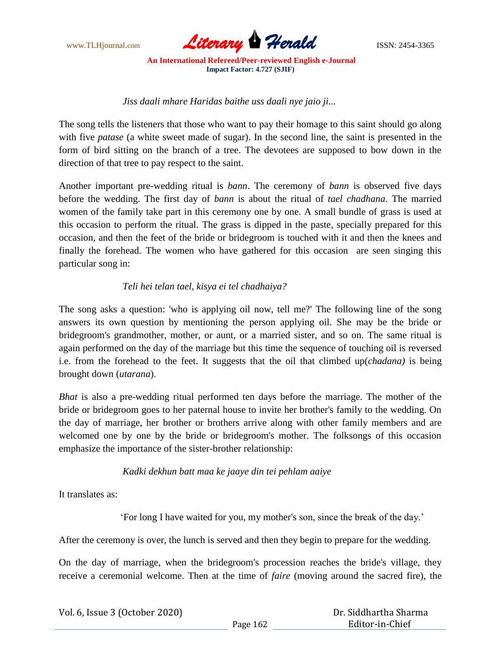

 *Jiss daali mhare Haridas baithe uss daali nye jaio ji...*

The song tells the listeners that those who want to pay their homage to this saint should go along with five *patase* (a white sweet made of sugar). In the second line, the saint is presented in the form of bird sitting on the branch of a tree. The devotees are supposed to bow down in the direction of that tree to pay respect to the saint.

Another important pre-wedding ritual is *bann*. The ceremony of *bann* is observed five days before the wedding. The first day of *bann* is about the ritual of *tael chadhana*. The married women of the family take part in this ceremony one by one. A small bundle of grass is used at this occasion to perform the ritual. The grass is dipped in the paste, specially prepared for this occasion, and then the feet of the bride or bridegroom is touched with it and then the knees and finally the forehead. The women who have gathered for this occasion are seen singing this particular song in:

# *Teli hei telan tael, kisya ei tel chadhaiya?*

The song asks a question: 'who is applying oil now, tell me?' The following line of the song answers its own question by mentioning the person applying oil. She may be the bride or bridegroom's grandmother, mother, or aunt, or a married sister, and so on. The same ritual is again performed on the day of the marriage but this time the sequence of touching oil is reversed i.e. from the forehead to the feet. It suggests that the oil that climbed up(*chadana)* is being brought down (*utarana*).

*Bhat* is also a pre-wedding ritual performed ten days before the marriage. The mother of the bride or bridegroom goes to her paternal house to invite her brother's family to the wedding. On the day of marriage, her brother or brothers arrive along with other family members and are welcomed one by one by the bride or bridegroom's mother. The folksongs of this occasion emphasize the importance of the sister-brother relationship:

# *Kadki dekhun batt maa ke jaaye din tei pehlam aaiye*

It translates as:

"For long I have waited for you, my mother's son, since the break of the day."

After the ceremony is over, the lunch is served and then they begin to prepare for the wedding.

On the day of marriage, when the bridegroom's procession reaches the bride's village, they receive a ceremonial welcome. Then at the time of *faire* (moving around the sacred fire), the

| Vol. 6, Issue 3 (October 2020) |          | Dr. Siddhartha Sharma |
|--------------------------------|----------|-----------------------|
|                                | Page 162 | Editor-in-Chief       |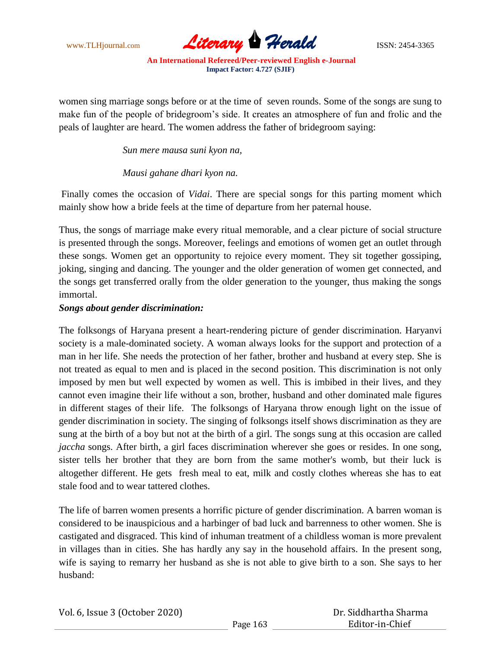

women sing marriage songs before or at the time of seven rounds. Some of the songs are sung to make fun of the people of bridegroom"s side. It creates an atmosphere of fun and frolic and the peals of laughter are heard. The women address the father of bridegroom saying:

 *Sun mere mausa suni kyon na,*

 *Mausi gahane dhari kyon na.*

Finally comes the occasion of *Vidai*. There are special songs for this parting moment which mainly show how a bride feels at the time of departure from her paternal house.

Thus, the songs of marriage make every ritual memorable, and a clear picture of social structure is presented through the songs. Moreover, feelings and emotions of women get an outlet through these songs. Women get an opportunity to rejoice every moment. They sit together gossiping, joking, singing and dancing. The younger and the older generation of women get connected, and the songs get transferred orally from the older generation to the younger, thus making the songs immortal.

#### *Songs about gender discrimination:*

The folksongs of Haryana present a heart-rendering picture of gender discrimination. Haryanvi society is a male-dominated society. A woman always looks for the support and protection of a man in her life. She needs the protection of her father, brother and husband at every step. She is not treated as equal to men and is placed in the second position. This discrimination is not only imposed by men but well expected by women as well. This is imbibed in their lives, and they cannot even imagine their life without a son, brother, husband and other dominated male figures in different stages of their life. The folksongs of Haryana throw enough light on the issue of gender discrimination in society. The singing of folksongs itself shows discrimination as they are sung at the birth of a boy but not at the birth of a girl. The songs sung at this occasion are called *jaccha* songs. After birth, a girl faces discrimination wherever she goes or resides. In one song, sister tells her brother that they are born from the same mother's womb, but their luck is altogether different. He gets fresh meal to eat, milk and costly clothes whereas she has to eat stale food and to wear tattered clothes.

The life of barren women presents a horrific picture of gender discrimination. A barren woman is considered to be inauspicious and a harbinger of bad luck and barrenness to other women. She is castigated and disgraced. This kind of inhuman treatment of a childless woman is more prevalent in villages than in cities. She has hardly any say in the household affairs. In the present song, wife is saying to remarry her husband as she is not able to give birth to a son. She says to her husband: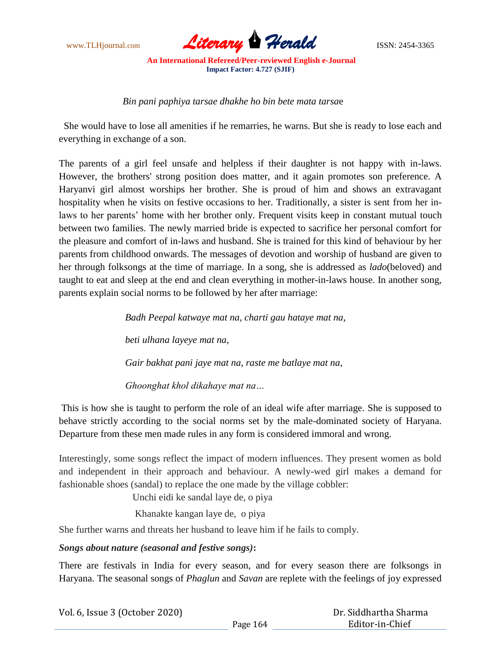

*Bin pani paphiya tarsae dhakhe ho bin bete mata tarsa*e

 She would have to lose all amenities if he remarries, he warns. But she is ready to lose each and everything in exchange of a son.

The parents of a girl feel unsafe and helpless if their daughter is not happy with in-laws. However, the brothers' strong position does matter, and it again promotes son preference. A Haryanvi girl almost worships her brother. She is proud of him and shows an extravagant hospitality when he visits on festive occasions to her. Traditionally, a sister is sent from her inlaws to her parents' home with her brother only. Frequent visits keep in constant mutual touch between two families. The newly married bride is expected to sacrifice her personal comfort for the pleasure and comfort of in-laws and husband. She is trained for this kind of behaviour by her parents from childhood onwards. The messages of devotion and worship of husband are given to her through folksongs at the time of marriage. In a song, she is addressed as *lado*(beloved) and taught to eat and sleep at the end and clean everything in mother-in-laws house. In another song, parents explain social norms to be followed by her after marriage:

> *Badh Peepal katwaye mat na, charti gau hataye mat na, beti ulhana layeye mat na, Gair bakhat pani jaye mat na, raste me batlaye mat na, Ghoonghat khol dikahaye mat na…*

This is how she is taught to perform the role of an ideal wife after marriage. She is supposed to behave strictly according to the social norms set by the male-dominated society of Haryana. Departure from these men made rules in any form is considered immoral and wrong.

Interestingly, some songs reflect the impact of modern influences. They present women as bold and independent in their approach and behaviour. A newly-wed girl makes a demand for fashionable shoes (sandal) to replace the one made by the village cobbler:

Unchi eidi ke sandal laye de, o piya

Khanakte kangan laye de, o piya

She further warns and threats her husband to leave him if he fails to comply.

*Songs about nature (seasonal and festive songs)***:**

There are festivals in India for every season, and for every season there are folksongs in Haryana. The seasonal songs of *Phaglun* and *Savan* are replete with the feelings of joy expressed

| Vol. 6, Issue 3 (October 2020) |          | Dr. Siddhartha Sharma |
|--------------------------------|----------|-----------------------|
|                                | Page 164 | Editor-in-Chief       |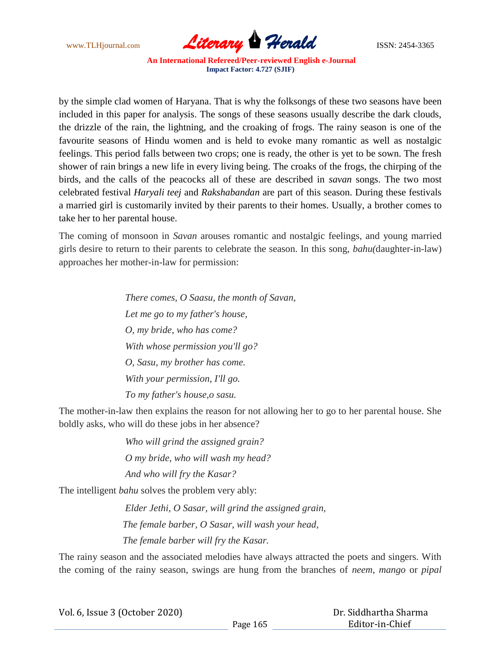

by the simple clad women of Haryana. That is why the folksongs of these two seasons have been included in this paper for analysis. The songs of these seasons usually describe the dark clouds, the drizzle of the rain, the lightning, and the croaking of frogs. The rainy season is one of the favourite seasons of Hindu women and is held to evoke many romantic as well as nostalgic feelings. This period falls between two crops; one is ready, the other is yet to be sown. The fresh shower of rain brings a new life in every living being. The croaks of the frogs, the chirping of the birds, and the calls of the peacocks all of these are described in *savan* songs. The two most celebrated festival *Haryali teej* and *Rakshabandan* are part of this season. During these festivals a married girl is customarily invited by their parents to their homes. Usually, a brother comes to take her to her parental house.

The coming of monsoon in *Savan* arouses romantic and nostalgic feelings, and young married girls desire to return to their parents to celebrate the season. In this song, *bahu(*daughter-in-law) approaches her mother-in-law for permission:

> *There comes, O Saasu, the month of Savan, Let me go to my father's house, O, my bride, who has come? With whose permission you'll go? O, Sasu, my brother has come. With your permission, I'll go. To my father's house,o sasu.*

The mother-in-law then explains the reason for not allowing her to go to her parental house. She boldly asks, who will do these jobs in her absence?

> *Who will grind the assigned grain? O my bride, who will wash my head? And who will fry the Kasar?*

The intelligent *bahu* solves the problem very ably:

 *Elder Jethi, O Sasar, will grind the assigned grain, The female barber, O Sasar, will wash your head, The female barber will fry the Kasar.*

The rainy season and the associated melodies have always attracted the poets and singers. With the coming of the rainy season, swings are hung from the branches of *neem*, *mango* or *pipal*

| Vol. 6, Issue 3 (October 2020) |  |
|--------------------------------|--|
|--------------------------------|--|

 Dr. Siddhartha Sharma Editor-in-Chief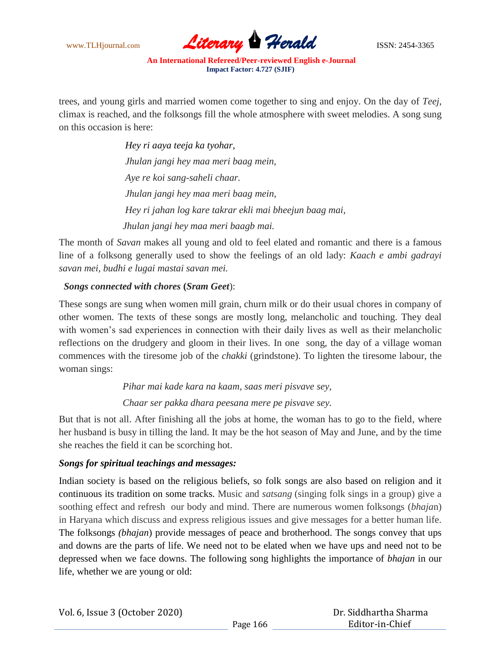

trees, and young girls and married women come together to sing and enjoy. On the day of *Teej*, climax is reached, and the folksongs fill the whole atmosphere with sweet melodies. A song sung on this occasion is here:

> *Hey ri aaya teeja ka tyohar, Jhulan jangi hey maa meri baag mein, Aye re koi sang-saheli chaar. Jhulan jangi hey maa meri baag mein, Hey ri jahan log kare takrar ekli mai bheejun baag mai, Jhulan jangi hey maa meri baagb mai.*

The month of *Savan* makes all young and old to feel elated and romantic and there is a famous line of a folksong generally used to show the feelings of an old lady: *Kaach e ambi gadrayi savan mei, budhi e lugai mastai savan mei.*

# *Songs connected with chores* **(***Sram Geet*):

These songs are sung when women mill grain, churn milk or do their usual chores in company of other women. The texts of these songs are mostly long, melancholic and touching. They deal with women's sad experiences in connection with their daily lives as well as their melancholic reflections on the drudgery and gloom in their lives. In one song, the day of a village woman commences with the tiresome job of the *chakki* (grindstone). To lighten the tiresome labour, the woman sings:

 *Pihar mai kade kara na kaam, saas meri pisvave sey,*

 *Chaar ser pakka dhara peesana mere pe pisvave sey.*

But that is not all. After finishing all the jobs at home, the woman has to go to the field, where her husband is busy in tilling the land. It may be the hot season of May and June, and by the time she reaches the field it can be scorching hot.

# *Songs for spiritual teachings and messages:*

Indian society is based on the religious beliefs, so folk songs are also based on religion and it continuous its tradition on some tracks. Music and *satsang* (singing folk sings in a group) give a soothing effect and refresh our body and mind. There are numerous women folksongs (*bhaja*n) in Haryana which discuss and express religious issues and give messages for a better human life. The folksongs *(bhajan*) provide messages of peace and brotherhood. The songs convey that ups and downs are the parts of life. We need not to be elated when we have ups and need not to be depressed when we face downs. The following song highlights the importance of *bhajan* in our life, whether we are young or old: